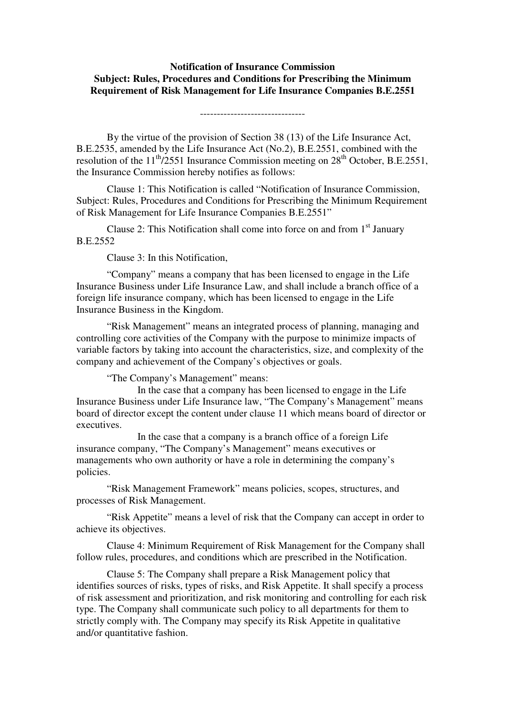## **Notification of Insurance Commission Subject: Rules, Procedures and Conditions for Prescribing the Minimum Requirement of Risk Management for Life Insurance Companies B.E.2551**

-------------------------------

 By the virtue of the provision of Section 38 (13) of the Life Insurance Act, B.E.2535, amended by the Life Insurance Act (No.2), B.E.2551, combined with the resolution of the  $11<sup>th</sup>/2551$  Insurance Commission meeting on  $28<sup>th</sup>$  October, B.E.2551, the Insurance Commission hereby notifies as follows:

 Clause 1: This Notification is called "Notification of Insurance Commission, Subject: Rules, Procedures and Conditions for Prescribing the Minimum Requirement of Risk Management for Life Insurance Companies B.E.2551"

Clause 2: This Notification shall come into force on and from  $1<sup>st</sup>$  January B.E.2552

Clause 3: In this Notification,

 "Company" means a company that has been licensed to engage in the Life Insurance Business under Life Insurance Law, and shall include a branch office of a foreign life insurance company, which has been licensed to engage in the Life Insurance Business in the Kingdom.

 "Risk Management" means an integrated process of planning, managing and controlling core activities of the Company with the purpose to minimize impacts of variable factors by taking into account the characteristics, size, and complexity of the company and achievement of the Company's objectives or goals.

"The Company's Management" means:

In the case that a company has been licensed to engage in the Life Insurance Business under Life Insurance law, "The Company's Management" means board of director except the content under clause 11 which means board of director or executives.

In the case that a company is a branch office of a foreign Life insurance company, "The Company's Management" means executives or managements who own authority or have a role in determining the company's policies.

 "Risk Management Framework" means policies, scopes, structures, and processes of Risk Management.

 "Risk Appetite" means a level of risk that the Company can accept in order to achieve its objectives.

 Clause 4: Minimum Requirement of Risk Management for the Company shall follow rules, procedures, and conditions which are prescribed in the Notification.

 Clause 5: The Company shall prepare a Risk Management policy that identifies sources of risks, types of risks, and Risk Appetite. It shall specify a process of risk assessment and prioritization, and risk monitoring and controlling for each risk type. The Company shall communicate such policy to all departments for them to strictly comply with. The Company may specify its Risk Appetite in qualitative and/or quantitative fashion.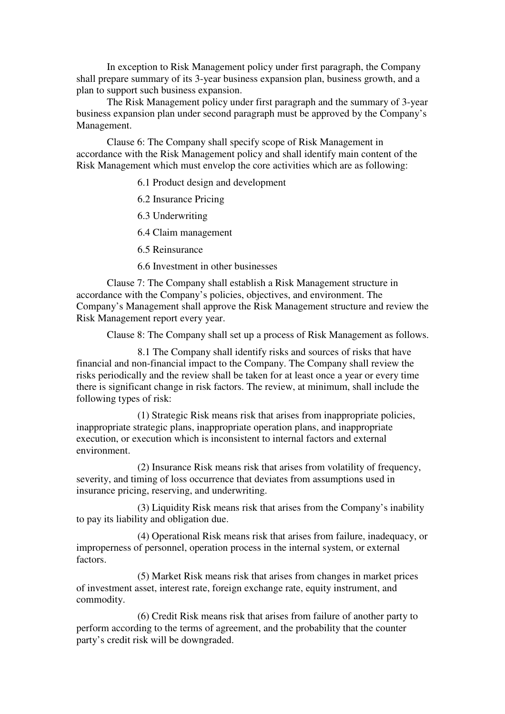In exception to Risk Management policy under first paragraph, the Company shall prepare summary of its 3-year business expansion plan, business growth, and a plan to support such business expansion.

 The Risk Management policy under first paragraph and the summary of 3-year business expansion plan under second paragraph must be approved by the Company's Management.

 Clause 6: The Company shall specify scope of Risk Management in accordance with the Risk Management policy and shall identify main content of the Risk Management which must envelop the core activities which are as following:

6.1 Product design and development

6.2 Insurance Pricing

6.3 Underwriting

6.4 Claim management

6.5 Reinsurance

6.6 Investment in other businesses

 Clause 7: The Company shall establish a Risk Management structure in accordance with the Company's policies, objectives, and environment. The Company's Management shall approve the Risk Management structure and review the Risk Management report every year.

Clause 8: The Company shall set up a process of Risk Management as follows.

 8.1 The Company shall identify risks and sources of risks that have financial and non-financial impact to the Company. The Company shall review the risks periodically and the review shall be taken for at least once a year or every time there is significant change in risk factors. The review, at minimum, shall include the following types of risk:

 (1) Strategic Risk means risk that arises from inappropriate policies, inappropriate strategic plans, inappropriate operation plans, and inappropriate execution, or execution which is inconsistent to internal factors and external environment.

 (2) Insurance Risk means risk that arises from volatility of frequency, severity, and timing of loss occurrence that deviates from assumptions used in insurance pricing, reserving, and underwriting.

 (3) Liquidity Risk means risk that arises from the Company's inability to pay its liability and obligation due.

 (4) Operational Risk means risk that arises from failure, inadequacy, or improperness of personnel, operation process in the internal system, or external factors.

 (5) Market Risk means risk that arises from changes in market prices of investment asset, interest rate, foreign exchange rate, equity instrument, and commodity.

 (6) Credit Risk means risk that arises from failure of another party to perform according to the terms of agreement, and the probability that the counter party's credit risk will be downgraded.